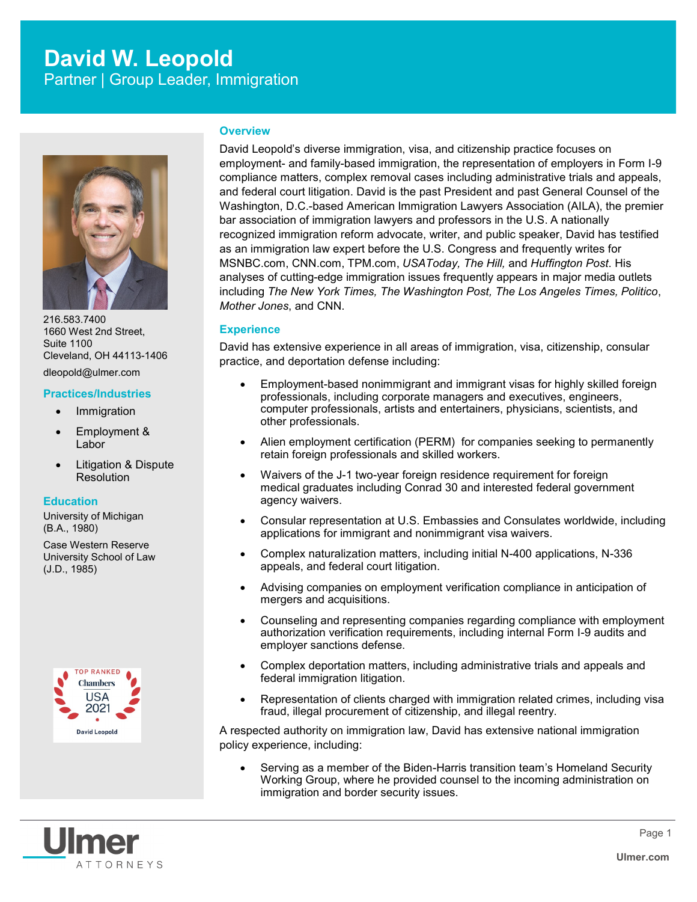# **David W. Leopold** Partner | Group Leader, Immigration



216.583.7400 1660 West 2nd Street, Suite 1100 Cleveland, OH 44113-1406 dleopold@ulmer.com

#### **Practices/Industries**

- Immigration
- Employment & Labor
- Litigation & Dispute Resolution

#### **Education**

University of Michigan (B.A., 1980)

Case Western Reserve University School of Law (J.D., 1985)



# **Overview**

David Leopold's diverse immigration, visa, and citizenship practice focuses on employment- and family-based immigration, the representation of employers in Form I-9 compliance matters, complex removal cases including administrative trials and appeals, and federal court litigation. David is the past President and past General Counsel of the Washington, D.C.-based American Immigration Lawyers Association (AILA), the premier bar association of immigration lawyers and professors in the U.S. A nationally recognized immigration reform advocate, writer, and public speaker, David has testified as an immigration law expert before the U.S. Congress and frequently writes for MSNBC.com, CNN.com, TPM.com, *USAToday, The Hill,* and *Huffington Post*. His analyses of cutting-edge immigration issues frequently appears in major media outlets including *The New York Times, The Washington Post, The Los Angeles Times, Politico*, *Mother Jones*, and CNN.

# **Experience**

David has extensive experience in all areas of immigration, visa, citizenship, consular practice, and deportation defense including:

- Employment-based nonimmigrant and immigrant visas for highly skilled foreign professionals, including corporate managers and executives, engineers, computer professionals, artists and entertainers, physicians, scientists, and other professionals.
- Alien employment certification (PERM) for companies seeking to permanently retain foreign professionals and skilled workers.
- Waivers of the J-1 two-year foreign residence requirement for foreign medical graduates including Conrad 30 and interested federal government agency waivers.
- Consular representation at U.S. Embassies and Consulates worldwide, including applications for immigrant and nonimmigrant visa waivers.
- Complex naturalization matters, including initial N-400 applications, N-336 appeals, and federal court litigation.
- Advising companies on employment verification compliance in anticipation of mergers and acquisitions.
- Counseling and representing companies regarding compliance with employment authorization verification requirements, including internal Form I-9 audits and employer sanctions defense.
- Complex deportation matters, including administrative trials and appeals and federal immigration litigation.
- Representation of clients charged with immigration related crimes, including visa fraud, illegal procurement of citizenship, and illegal reentry.

A respected authority on immigration law, David has extensive national immigration policy experience, including:

 Serving as a member of the Biden-Harris transition team's Homeland Security Working Group, where he provided counsel to the incoming administration on immigration and border security issues.

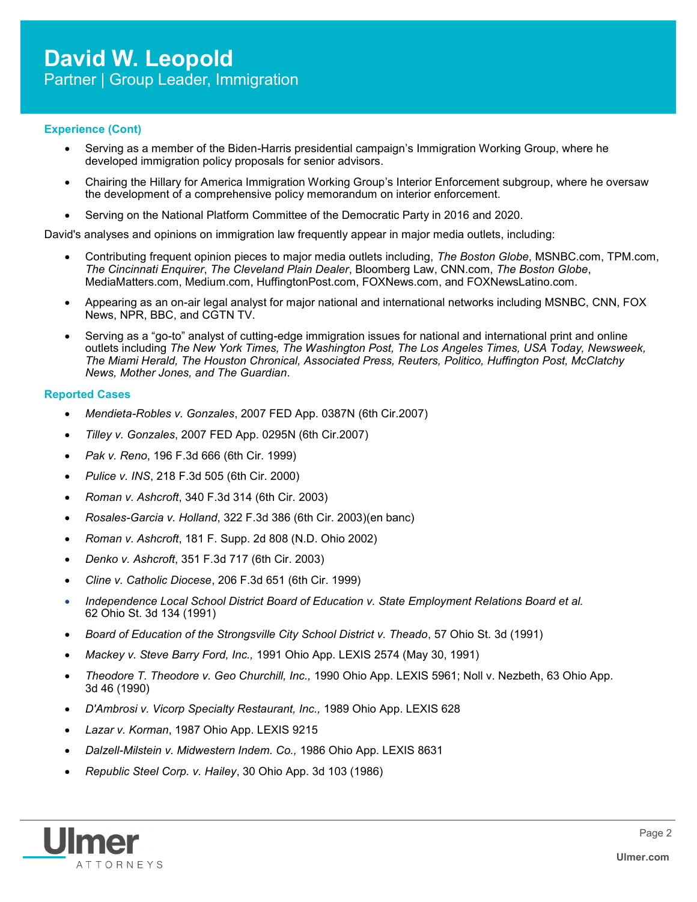## **Experience (Cont)**

- Serving as a member of the Biden-Harris presidential campaign's Immigration Working Group, where he developed immigration policy proposals for senior advisors.
- Chairing the Hillary for America Immigration Working Group's Interior Enforcement subgroup, where he oversaw the development of a comprehensive policy memorandum on interior enforcement.
- Serving on the National Platform Committee of the Democratic Party in 2016 and 2020.

David's analyses and opinions on immigration law frequently appear in major media outlets, including:

- Contributing frequent opinion pieces to major media outlets including, *The Boston Globe*, MSNBC.com, TPM.com, *The Cincinnati Enquirer*, *The Cleveland Plain Dealer*, Bloomberg Law, CNN.com, *The Boston Globe*, MediaMatters.com, Medium.com, HuffingtonPost.com, FOXNews.com, and FOXNewsLatino.com.
- Appearing as an on-air legal analyst for major national and international networks including MSNBC, CNN, FOX News, NPR, BBC, and CGTN TV.
- Serving as a "go-to" analyst of cutting-edge immigration issues for national and international print and online outlets including *The New York Times, The Washington Post, The Los Angeles Times, USA Today, Newsweek, The Miami Herald, The Houston Chronical, Associated Press, Reuters, Politico, Huffington Post, McClatchy News, Mother Jones, and The Guardian*.

# **Reported Cases**

- *Mendieta-Robles v. Gonzales*, 2007 FED App. 0387N (6th Cir.2007)
- *Tilley v. Gonzales*, 2007 FED App. 0295N (6th Cir.2007)
- *Pak v. Reno*, 196 F.3d 666 (6th Cir. 1999)
- *Pulice v. INS*, 218 F.3d 505 (6th Cir. 2000)
- *Roman v. Ashcroft*, 340 F.3d 314 (6th Cir. 2003)
- *Rosales-Garcia v. Holland*, 322 F.3d 386 (6th Cir. 2003)(en banc)
- *Roman v. Ashcroft*, 181 F. Supp. 2d 808 (N.D. Ohio 2002)
- *Denko v. Ashcroft*, 351 F.3d 717 (6th Cir. 2003)
- *Cline v. Catholic Diocese*, 206 F.3d 651 (6th Cir. 1999)
- *Independence Local School District Board of Education v. State Employment Relations Board et al.* 62 Ohio St. 3d 134 (1991)
- *Board of Education of the Strongsville City School District v. Theado*, 57 Ohio St. 3d (1991)
- *Mackey v. Steve Barry Ford, Inc.,* 1991 Ohio App. LEXIS 2574 (May 30, 1991)
- *Theodore T. Theodore v. Geo Churchill, Inc.,* 1990 Ohio App. LEXIS 5961; Noll v. Nezbeth, 63 Ohio App. 3d 46 (1990)
- *D'Ambrosi v. Vicorp Specialty Restaurant, Inc.,* 1989 Ohio App. LEXIS 628
- *Lazar v. Korman*, 1987 Ohio App. LEXIS 9215
- *Dalzell-Milstein v. Midwestern Indem. Co.,* 1986 Ohio App. LEXIS 8631
- *Republic Steel Corp. v. Hailey*, 30 Ohio App. 3d 103 (1986)

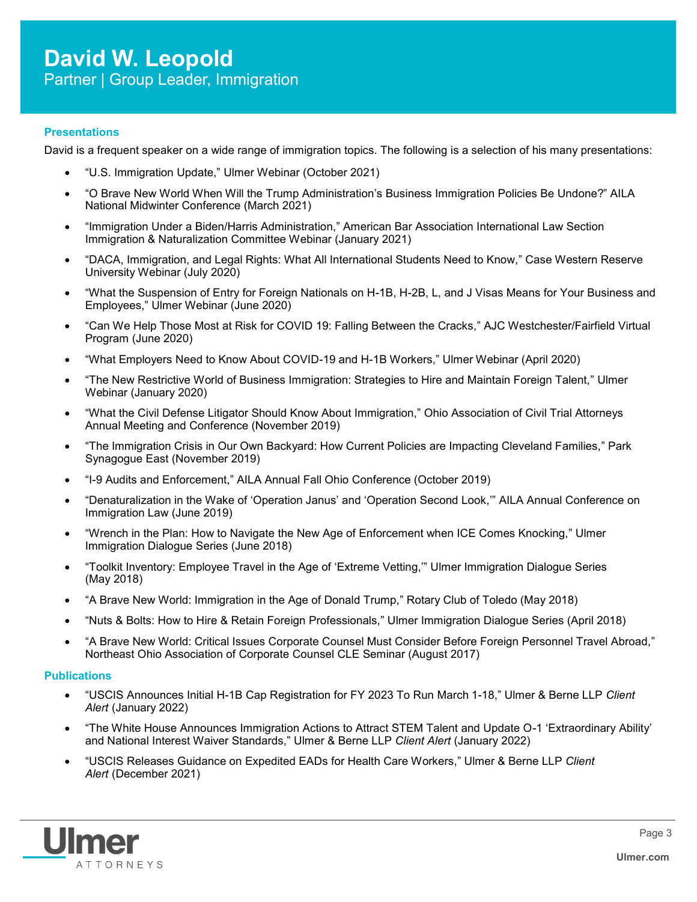## **Presentations**

David is a frequent speaker on a wide range of immigration topics. The following is a selection of his many presentations:

- "U.S. Immigration Update," Ulmer Webinar (October 2021)
- "O Brave New World When Will the Trump Administration's Business Immigration Policies Be Undone?" AILA National Midwinter Conference (March 2021)
- "Immigration Under a Biden/Harris Administration," American Bar Association International Law Section Immigration & Naturalization Committee Webinar (January 2021)
- "DACA, Immigration, and Legal Rights: What All International Students Need to Know," Case Western Reserve University Webinar (July 2020)
- "What the Suspension of Entry for Foreign Nationals on H-1B, H-2B, L, and J Visas Means for Your Business and Employees," Ulmer Webinar (June 2020)
- "Can We Help Those Most at Risk for COVID 19: Falling Between the Cracks," AJC Westchester/Fairfield Virtual Program (June 2020)
- "What Employers Need to Know About COVID-19 and H-1B Workers," Ulmer Webinar (April 2020)
- "The New Restrictive World of Business Immigration: Strategies to Hire and Maintain Foreign Talent," Ulmer Webinar (January 2020)
- "What the Civil Defense Litigator Should Know About Immigration," Ohio Association of Civil Trial Attorneys Annual Meeting and Conference (November 2019)
- "The Immigration Crisis in Our Own Backyard: How Current Policies are Impacting Cleveland Families," Park Synagogue East (November 2019)
- "I-9 Audits and Enforcement," AILA Annual Fall Ohio Conference (October 2019)
- "Denaturalization in the Wake of 'Operation Janus' and 'Operation Second Look,'" AILA Annual Conference on Immigration Law (June 2019)
- "Wrench in the Plan: How to Navigate the New Age of Enforcement when ICE Comes Knocking," Ulmer Immigration Dialogue Series (June 2018)
- "Toolkit Inventory: Employee Travel in the Age of 'Extreme Vetting,'" Ulmer Immigration Dialogue Series (May 2018)
- "A Brave New World: Immigration in the Age of Donald Trump," Rotary Club of Toledo (May 2018)
- "Nuts & Bolts: How to Hire & Retain Foreign Professionals," Ulmer Immigration Dialogue Series (April 2018)
- "A Brave New World: Critical Issues Corporate Counsel Must Consider Before Foreign Personnel Travel Abroad," Northeast Ohio Association of Corporate Counsel CLE Seminar (August 2017)

#### **Publications**

- "USCIS Announces Initial H-1B Cap Registration for FY 2023 To Run March 1-18," Ulmer & Berne LLP *Client Alert* (January 2022)
- "The White House Announces Immigration Actions to Attract STEM Talent and Update O-1 'Extraordinary Ability' and National Interest Waiver Standards," Ulmer & Berne LLP *Client Alert* (January 2022)
- "USCIS Releases Guidance on Expedited EADs for Health Care Workers," Ulmer & Berne LLP *Client Alert* (December 2021)

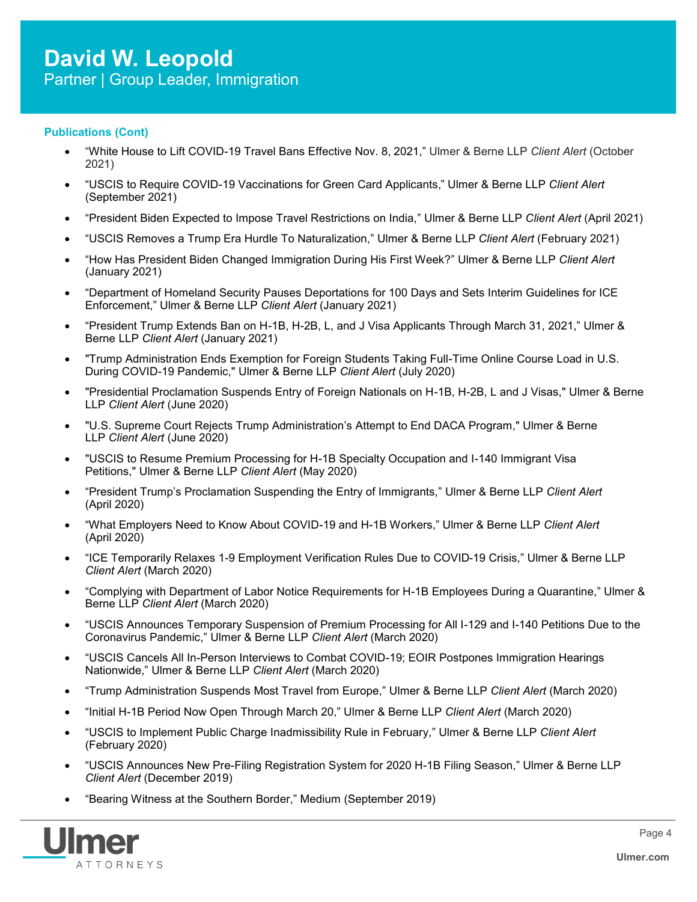## **Publications (Cont)**

- "White House to Lift COVID-[19 Travel Bans Effective Nov. 8, 2021,"](https://www.ulmer.com/client-alerts/us-to-relax-travel-restrictions-on-fully-vaccinated-foreign-visitors/) Ulmer & Berne LLP *Client Alert* (October 2021)
- "USCIS to Require COVID-19 Vaccinations for Green Card Applicants," Ulmer & Berne LLP *Client Alert* (September 2021)
- "President Biden Expected to Impose Travel Restrictions on India," Ulmer & Berne LLP *Client Alert* (April 2021)
- "USCIS Removes a Trump Era Hurdle To Naturalization," Ulmer & Berne LLP *Client Alert* (February 2021)
- "How Has President Biden Changed Immigration During His First Week?" Ulmer & Berne LLP *Client Alert* (January 2021)
- "Department of Homeland Security Pauses Deportations for 100 Days and Sets Interim Guidelines for ICE Enforcement," Ulmer & Berne LLP *Client Alert* (January 2021)
- "President Trump Extends Ban on H-1B, H-2B, L, and J Visa Applicants Through March 31, 2021," Ulmer & Berne LLP *Client Alert* (January 2021)
- "Trump Administration Ends Exemption for Foreign Students Taking Full-Time Online Course Load in U.S. During COVID-19 Pandemic," Ulmer & Berne LLP *Client Alert* (July 2020)
- "Presidential Proclamation Suspends Entry of Foreign Nationals on H-1B, H-2B, L and J Visas," Ulmer & Berne LLP *Client Alert* (June 2020)
- "U.S. Supreme Court Rejects Trump Administration's Attempt to End DACA Program," Ulmer & Berne LLP *Client Alert* (June 2020)
- "USCIS to Resume Premium Processing for H-1B Specialty Occupation and I-140 Immigrant Visa Petitions," Ulmer & Berne LLP *Client Alert* (May 2020)
- "President Trump's Proclamation Suspending the Entry of Immigrants," Ulmer & Berne LLP *Client Alert* (April 2020)
- "What Employers Need to Know About COVID-19 and H-1B Workers," Ulmer & Berne LLP *Client Alert* (April 2020)
- "ICE Temporarily Relaxes 1-9 Employment Verification Rules Due to COVID-19 Crisis," Ulmer & Berne LLP *Client Alert* (March 2020)
- "Complying with Department of Labor Notice Requirements for H-1B Employees During a Quarantine," Ulmer & Berne LLP *Client Alert* (March 2020)
- "USCIS Announces Temporary Suspension of Premium Processing for All I-129 and I-140 Petitions Due to the Coronavirus Pandemic," Ulmer & Berne LLP *Client Alert* (March 2020)
- "USCIS Cancels All In-Person Interviews to Combat COVID-19; EOIR Postpones Immigration Hearings Nationwide," Ulmer & Berne LLP *Client Alert* (March 2020)
- "Trump Administration Suspends Most Travel from Europe," Ulmer & Berne LLP *Client Alert* (March 2020)
- "Initial H-1B Period Now Open Through March 20," Ulmer & Berne LLP *Client Alert* (March 2020)
- "USCIS to Implement Public Charge Inadmissibility Rule in February," Ulmer & Berne LLP *Client Alert* (February 2020)
- "USCIS Announces New Pre-Filing Registration System for 2020 H-1B Filing Season," Ulmer & Berne LLP *Client Alert* (December 2019)
- "Bearing Witness at the Southern Border," Medium (September 2019)

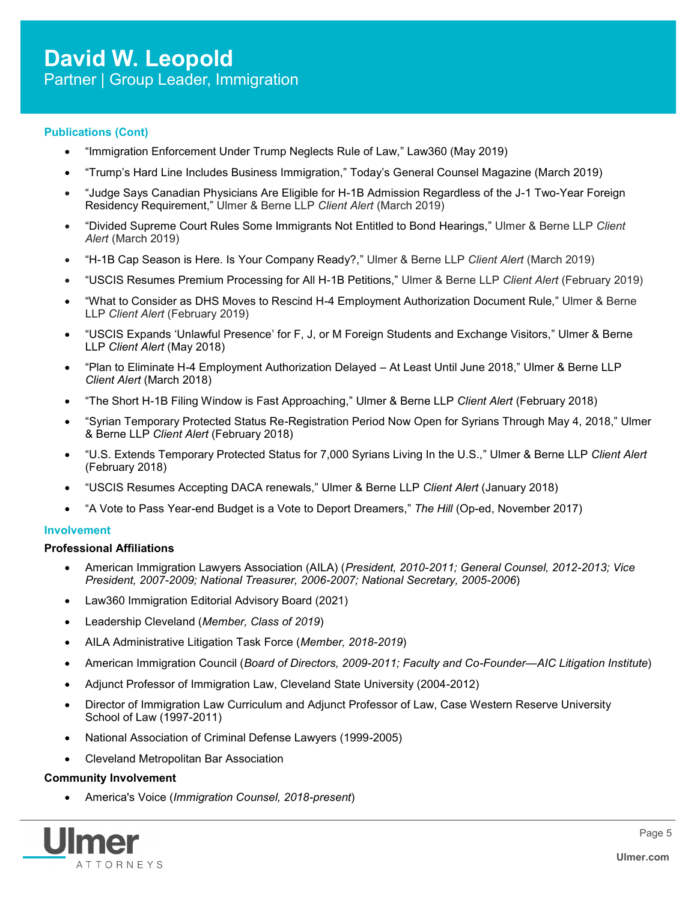## **Publications (Cont)**

- "Immigration Enforcement Under Trump Neglects Rule of Law," Law360 (May 2019)
- "Trump's Hard Line Includes Business Immigration," Today's General Counsel Magazine (March 2019)
- "Judge Says Canadian Physicians Are Eligible for H-1B Admission Regardless of the J-1 Two-Year Foreign Residency Requirement," Ulmer & Berne LLP *Client Alert* (March 2019)
- "Divided Supreme Court Rules Some Immigrants Not Entitled to Bond Hearings," Ulmer & Berne LLP *Client Alert* (March 2019)
- "H-1B Cap Season is Here. Is Your Company Ready?," Ulmer & Berne LLP *Client Alert* (March 2019)
- "USCIS Resumes Premium Processing for All H-1B Petitions," Ulmer & Berne LLP *Client Alert* (February 2019)
- "What to Consider as DHS Moves to Rescind H-4 Employment Authorization Document Rule," Ulmer & Berne LLP *Client Alert* (February 2019)
- "USCIS Expands 'Unlawful Presence' for F, J, or M Foreign Students and Exchange Visitors," Ulmer & Berne LLP *Client Alert* (May 2018)
- "Plan to Eliminate H-4 Employment Authorization Delayed At Least Until June 2018," Ulmer & Berne LLP *Client Alert* (March 2018)
- "The Short H-1B Filing Window is Fast Approaching," Ulmer & Berne LLP *Client Alert* (February 2018)
- "Syrian Temporary Protected Status Re-Registration Period Now Open for Syrians Through May 4, 2018," Ulmer & Berne LLP *Client Alert* (February 2018)
- "U.S. Extends Temporary Protected Status for 7,000 Syrians Living In the U.S.," Ulmer & Berne LLP *Client Alert*  (February 2018)
- "USCIS Resumes Accepting DACA renewals," Ulmer & Berne LLP *Client Alert* (January 2018)
- "A Vote to Pass Year-end Budget is a Vote to Deport Dreamers," *The Hill* (Op-ed, November 2017)

#### **Involvement**

#### **Professional Affiliations**

- American Immigration Lawyers Association (AILA) (*President, 2010-2011; General Counsel, 2012-2013; Vice President, 2007-2009; National Treasurer, 2006-2007; National Secretary, 2005-2006*)
- Law360 Immigration Editorial Advisory Board (2021)
- Leadership Cleveland (*Member, Class of 2019*)
- AILA Administrative Litigation Task Force (*Member, 2018-2019*)
- American Immigration Council (*Board of Directors, 2009-2011; Faculty and Co-Founder—AIC Litigation Institute*)
- Adjunct Professor of Immigration Law, Cleveland State University (2004-2012)
- Director of Immigration Law Curriculum and Adjunct Professor of Law, Case Western Reserve University School of Law (1997-2011)
- National Association of Criminal Defense Lawyers (1999-2005)
- Cleveland Metropolitan Bar Association

#### **Community Involvement**

America's Voice (*Immigration Counsel, 2018-present*)